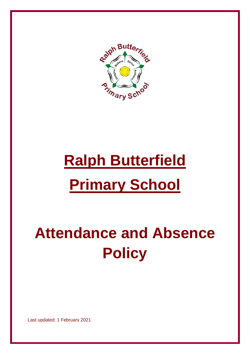

# **Ralph Butterfield Primary School**

## **Attendance and Absence Policy**

Last updated: 1 February 2021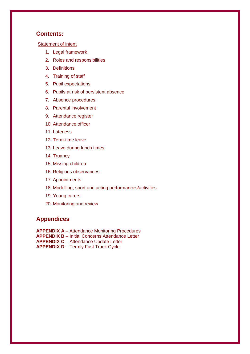#### **Contents:**

[Statement of intent](file:///C:/Users/helen/Downloads/Primary_Attendance%20and%20Absence%20Policy_20200930.docx%23AA)

- 1. [Legal framework](file:///C:/Users/helen/Downloads/Primary_Attendance%20and%20Absence%20Policy_20200930.docx%23_Background)
- 2. [Roles and responsibilities](file:///C:/Users/helen/Downloads/Primary_Attendance%20and%20Absence%20Policy_20200930.docx%23_Roles_and_responsibilities)
- 3. [Definitions](file:///C:/Users/helen/Downloads/Primary_Attendance%20and%20Absence%20Policy_20200930.docx%23_Definitions)
- 4. [Training of staff](file:///C:/Users/helen/Downloads/Primary_Attendance%20and%20Absence%20Policy_20200930.docx%23_Training_of_staff)
- 5. [Pupil expectations](file:///C:/Users/helen/Downloads/Primary_Attendance%20and%20Absence%20Policy_20200930.docx%23_Pupil_expectations)
- 6. [Pupils at risk of persistent absence](file:///C:/Users/helen/Downloads/Primary_Attendance%20and%20Absence%20Policy_20200930.docx%23_Pupils_at_risk)
- 7. [Absence procedures](file:///C:/Users/helen/Downloads/Primary_Attendance%20and%20Absence%20Policy_20200930.docx%23_Absence_procedures)
- 8. [Parental involvement](file:///C:/Users/helen/Downloads/Primary_Attendance%20and%20Absence%20Policy_20200930.docx%23_Contact_information%5bUpdated%5d_Parent)
- 9. [Attendance register](file:///C:/Users/helen/Downloads/Primary_Attendance%20and%20Absence%20Policy_20200930.docx%23_Attendance_register)
- 10. [Attendance officer](file:///C:/Users/helen/Downloads/Primary_Attendance%20and%20Absence%20Policy_20200930.docx%23_Attendance_Officer)
- 11. [Lateness](file:///C:/Users/helen/Downloads/Primary_Attendance%20and%20Absence%20Policy_20200930.docx%23_Searching)
- 12. [Term-time leave](file:///C:/Users/helen/Downloads/Primary_Attendance%20and%20Absence%20Policy_20200930.docx%23_Items_banned_from)
- 13. [Leave during lunch times](file:///C:/Users/helen/Downloads/Primary_Attendance%20and%20Absence%20Policy_20200930.docx%23_Absence_during_lunch)
- 14. [Truancy](file:///C:/Users/helen/Downloads/Primary_Attendance%20and%20Absence%20Policy_20200930.docx%23_Truancy_1)
- 15. [Missing children](file:///C:/Users/helen/Downloads/Primary_Attendance%20and%20Absence%20Policy_20200930.docx%23_Monitoring_1)
- 16. [Religious observances](file:///C:/Users/helen/Downloads/Primary_Attendance%20and%20Absence%20Policy_20200930.docx%23_Outside_school_and)
- 17. [Appointments](file:///C:/Users/helen/Downloads/Primary_Attendance%20and%20Absence%20Policy_20200930.docx%23_Confiscation)
- 18. [Modelling, sport and acting performances/activities](file:///C:/Users/helen/Downloads/Primary_Attendance%20and%20Absence%20Policy_20200930.docx%23_Modelling,_sport_and)
- 19. [Young carers](file:///C:/Users/helen/Downloads/Primary_Attendance%20and%20Absence%20Policy_20200930.docx%23_Young_carers_1)
- 20. [Monitoring and review](file:///C:/Users/helen/Downloads/Primary_Attendance%20and%20Absence%20Policy_20200930.docx%23_Monitoring_and_review)

## **Appendices**

**APPENDIX A** – [Attendance Monitoring Procedures](file:///C:/Users/helen/Downloads/Primary_Attendance%20and%20Absence%20Policy_20200930.docx%23a) **APPENDIX B** – Initial Concerns Attendance Letter **APPENDIX C** – [Attendance Update Letter](file:///C:/Users/helen/Downloads/Primary_Attendance%20and%20Absence%20Policy_20200930.docx%23a) **APPENDIX D** – [Termly](file:///C:/Users/helen/Downloads/Primary_Attendance%20and%20Absence%20Policy_20200930.docx%23a) Fast Track Cycle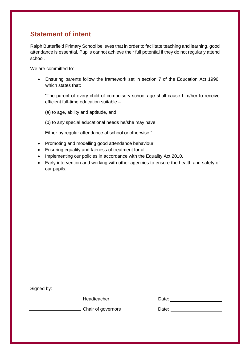## **Statement of intent**

Ralph Butterfield Primary School believes that in order to facilitate teaching and learning, good attendance is essential. Pupils cannot achieve their full potential if they do not regularly attend school.

We are committed to:

 Ensuring parents follow the framework set in section 7 of the Education Act 1996, which states that:

"The parent of every child of compulsory school age shall cause him/her to receive efficient full-time education suitable –

(a) to age, ability and aptitude, and

(b) to any special educational needs he/she may have

Either by regular attendance at school or otherwise."

- Promoting and modelling good attendance behaviour.
- Ensuring equality and fairness of treatment for all.
- Implementing our policies in accordance with the Equality Act 2010.
- Early intervention and working with other agencies to ensure the health and safety of our pupils.

Signed by:

entity and the deterministic part of the Date: http://www.facebook.com/community/information-terministic part of the Date:

**Chair of governors** Date: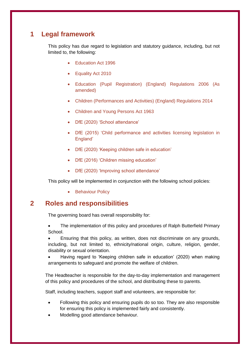## **1 Legal framework**

This policy has due regard to legislation and statutory guidance, including, but not limited to, the following:

- Education Act 1996
- Equality Act 2010
- Education (Pupil Registration) (England) Regulations 2006 (As amended)
- Children (Performances and Activities) (England) Regulations 2014
- Children and Young Persons Act 1963
- DfE (2020) 'School attendance'
- DfE (2015) 'Child performance and activities licensing legislation in England'
- DfE (2020) 'Keeping children safe in education'
- DfE (2016) 'Children missing education'
- DfE (2020) 'Improving school attendance'

This policy will be implemented in conjunction with the following school policies:

• Behaviour Policy

## **2 Roles and responsibilities**

The governing board has overall responsibility for:

 The implementation of this policy and procedures of Ralph Butterfield Primary School.

 Ensuring that this policy, as written, does not discriminate on any grounds, including, but not limited to, ethnicity/national origin, culture, religion, gender, disability or sexual orientation.

 Having regard to 'Keeping children safe in education' (2020) when making arrangements to safeguard and promote the welfare of children.

The Headteacher is responsible for the day-to-day implementation and management of this policy and procedures of the school, and distributing these to parents.

Staff, including teachers, support staff and volunteers, are responsible for:

- Following this policy and ensuring pupils do so too. They are also responsible for ensuring this policy is implemented fairly and consistently.
- Modelling good attendance behaviour.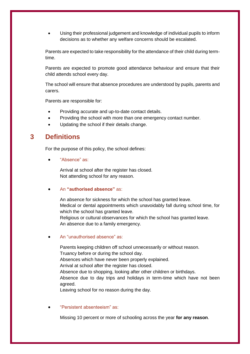Using their professional judgement and knowledge of individual pupils to inform decisions as to whether any welfare concerns should be escalated.

Parents are expected to take responsibility for the attendance of their child during termtime.

Parents are expected to promote good attendance behaviour and ensure that their child attends school every day.

The school will ensure that absence procedures are understood by pupils, parents and carers.

Parents are responsible for:

- Providing accurate and up-to-date contact details.
- Providing the school with more than one emergency contact number.
- Updating the school if their details change.

## **3 Definitions**

For the purpose of this policy, the school defines:

"Absence" as:

Arrival at school after the register has closed. Not attending school for any reason.

#### An **"authorised absence"** as:

An absence for sickness for which the school has granted leave. Medical or dental appointments which unavoidably fall during school time, for which the school has granted leave. Religious or cultural observances for which the school has granted leave.

An absence due to a family emergency.

#### An "unauthorised absence" as:

Parents keeping children off school unnecessarily or without reason. Truancy before or during the school day. Absences which have never been properly explained. Arrival at school after the register has closed. Absence due to shopping, looking after other children or birthdays. Absence due to day trips and holidays in term-time which have not been agreed. Leaving school for no reason during the day.

"Persistent absenteeism" as:

Missing 10 percent or more of schooling across the year **for any reason**.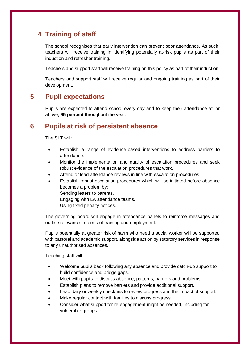## **4 Training of staff**

The school recognises that early intervention can prevent poor attendance. As such, teachers will receive training in identifying potentially at-risk pupils as part of their induction and refresher training.

Teachers and support staff will receive training on this policy as part of their induction.

Teachers and support staff will receive regular and ongoing training as part of their development.

## **5 Pupil expectations**

Pupils are expected to attend school every day and to keep their attendance at, or above, **95 percent** throughout the year.

## **6 Pupils at risk of persistent absence**

The SLT will:

- Establish a range of evidence-based interventions to address barriers to attendance.
- Monitor the implementation and quality of escalation procedures and seek robust evidence of the escalation procedures that work.
- Attend or lead attendance reviews in line with escalation procedures.
- Establish robust escalation procedures which will be initiated before absence becomes a problem by: Sending letters to parents. Engaging with LA attendance teams. Using fixed penalty notices.

The governing board will engage in attendance panels to reinforce messages and outline relevance in terms of training and employment.

Pupils potentially at greater risk of harm who need a social worker will be supported with pastoral and academic support, alongside action by statutory services in response to any unauthorised absences.

Teaching staff will:

- Welcome pupils back following any absence and provide catch-up support to build confidence and bridge gaps.
- Meet with pupils to discuss absence, patterns, barriers and problems.
- Establish plans to remove barriers and provide additional support.
- Lead daily or weekly check-ins to review progress and the impact of support.
- Make regular contact with families to discuss progress.
- Consider what support for re-engagement might be needed, including for vulnerable groups.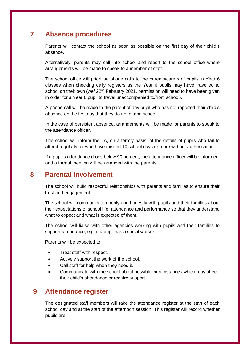## **7 Absence procedures**

Parents will contact the school as soon as possible on the first day of their child's absence.

Alternatively, parents may call into school and report to the school office where arrangements will be made to speak to a member of staff.

The school office will prioritise phone calls to the parents/carers of pupils in Year 6 classes when checking daily registers as the Year 6 pupils may have travelled to school on their own (wef 22<sup>nd</sup> February 2021, permission will need to have been given in order for a Year 6 pupil to travel unaccompanied to/from school).

A phone call will be made to the parent of any pupil who has not reported their child's absence on the first day that they do not attend school.

In the case of persistent absence, arrangements will be made for parents to speak to the attendance officer.

The school will inform the LA, on a termly basis, of the details of pupils who fail to attend regularly, or who have missed 10 school days or more without authorisation.

If a pupil's attendance drops below 90 percent, the attendance officer will be informed, and a formal meeting will be arranged with the parents.

## **8 Parental involvement**

The school will build respectful relationships with parents and families to ensure their trust and engagement.

The school will communicate openly and honestly with pupils and their families about their expectations of school life, attendance and performance so that they understand what to expect and what is expected of them.

The school will liaise with other agencies working with pupils and their families to support attendance, e.g. if a pupil has a social worker.

Parents will be expected to:

- Treat staff with respect.
- Actively support the work of the school.
- Call staff for help when they need it.
- Communicate with the school about possible circumstances which may affect their child's attendance or require support.

## **9 Attendance register**

The designated staff members will take the attendance register at the start of each school day and at the start of the afternoon session. This register will record whether pupils are: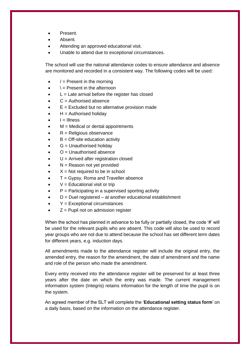- Present.
- Absent.
- Attending an approved educational visit.
- Unable to attend due to exceptional circumstances.

The school will use the national attendance codes to ensure attendance and absence are monitored and recorded in a consistent way. The following codes will be used:

- $/$  = Present in the morning
- $\lambda$  = Present in the afternoon
- $L =$  Late arrival before the register has closed
- C = Authorised absence
- $E =$  Excluded but no alternative provision made
- $H =$  Authorised holiday
- $I = I$ llness
- $M =$  Medical or dental appointments
- R = Religious observance
- $B =$  Off-site education activity
- $G =$  Unauthorised holidav
- $O =$  Unauthorised absence
- U = Arrived after registration closed
- N = Reason not yet provided
- $X = Not required to be in school$
- T = Gypsy, Roma and Traveller absence
- $V =$  Educational visit or trip
- $P =$  Participating in a supervised sporting activity
- $D =$  Duel registered  $-$  at another educational establishment
- Y = Exceptional circumstances
- $Z =$  Pupil not on admission register

When the school has planned in advance to be fully or partially closed, the code '#' will be used for the relevant pupils who are absent. This code will also be used to record year groups who are not due to attend because the school has set different term dates for different years, e.g. induction days.

All amendments made to the attendance register will include the original entry, the amended entry, the reason for the amendment, the date of amendment and the name and role of the person who made the amendment.

Every entry received into the attendance register will be preserved for at least three years after the date on which the entry was made. The current management information system (Integris) retains information for the length of time the pupil is on the system.

An agreed member of the SLT will complete the '**[Educational setting status form](https://www.gov.uk/government/publications/coronavirus-covid-19-attendance-recording-for-educational-settings)**' on a daily basis, based on the information on the attendance register.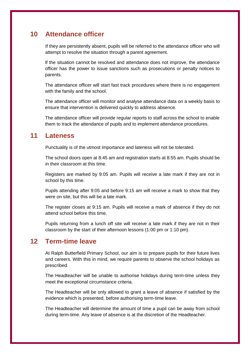## **10 Attendance officer**

If they are persistently absent, pupils will be referred to the attendance officer who will attempt to resolve the situation through a parent agreement.

If the situation cannot be resolved and attendance does not improve, the attendance officer has the power to issue sanctions such as prosecutions or penalty notices to parents.

The attendance officer will start fast track procedures where there is no engagement with the family and the school.

The attendance officer will monitor and analyse attendance data on a weekly basis to ensure that intervention is delivered quickly to address absence.

The attendance officer will provide regular reports to staff across the school to enable them to track the attendance of pupils and to implement attendance procedures.

## **11 Lateness**

Punctuality is of the utmost importance and lateness will not be tolerated.

The school doors open at 8:45 am and registration starts at 8:55 am. Pupils should be in their classroom at this time.

Registers are marked by 9:05 am. Pupils will receive a late mark if they are not in school by this time.

Pupils attending after 9:05 and before 9:15 am will receive a mark to show that they were on site, but this will be a late mark.

The register closes at 9:15 am. Pupils will receive a mark of absence if they do not attend school before this time.

Pupils returning from a lunch off site will receive a late mark if they are not in their classroom by the start of their afternoon lessons (1:00 pm or 1:10 pm).

## **12 Term-time leave**

At Ralph Butterfield Primary School, our aim is to prepare pupils for their future lives and careers. With this in mind, we require parents to observe the school holidays as prescribed.

The Headteacher will be unable to authorise holidays during term-time unless they meet the exceptional circumstance criteria.

The Headteacher will be only allowed to grant a leave of absence if satisfied by the evidence which is presented, before authorising term-time leave.

The Headteacher will determine the amount of time a pupil can be away from school during term-time. Any leave of absence is at the discretion of the Headteacher.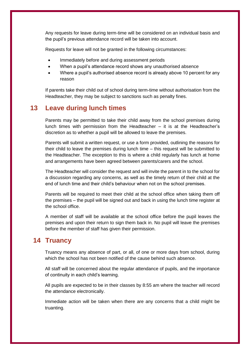Any requests for leave during term-time will be considered on an individual basis and the pupil's previous attendance record will be taken into account.

Requests for leave will not be granted in the following circumstances:

- Immediately before and during assessment periods
- When a pupil's attendance record shows any [unauthorised absence](file:///C:/Users/helen/Downloads/Primary_Attendance%20and%20Absence%20Policy_20200930.docx%23_Actions_in_the)
- Where a pupil's authorised absence record is already above 10 percent for any reason

If parents take their child out of school during term-time without authorisation from the Headteacher, they may be subject to sanctions such as penalty fines.

## **13 Leave during lunch times**

Parents may be permitted to take their child away from the school premises during lunch times with permission from the Headteacher – it is at the Headteacher's discretion as to whether a pupil will be allowed to leave the premises.

Parents will submit a written request, or use a form provided, outlining the reasons for their child to leave the premises during lunch time – this request will be submitted to the Headteacher. The exception to this is where a child regularly has lunch at home and arrangements have been agreed between parents/carers and the school.

The Headteacher will consider the request and will invite the parent in to the school for a discussion regarding any concerns, as well as the timely return of their child at the end of lunch time and their child's behaviour when not on the school premises.

Parents will be required to meet their child at the school office when taking them off the premises – the pupil will be signed out and back in using the lunch time register at the school office.

A member of staff will be available at the school office before the pupil leaves the premises and upon their return to sign them back in. No pupil will leave the premises before the member of staff has given their permission.

## **14 Truancy**

Truancy means any absence of part, or all, of one or more days from school, during which the school has not been notified of the cause behind such absence.

All staff will be concerned about the regular attendance of pupils, and the importance of continuity in each child's learning.

All pupils are expected to be in their classes by 8:55 am where the teacher will record the attendance electronically.

Immediate action will be taken when there are any concerns that a child might be truanting.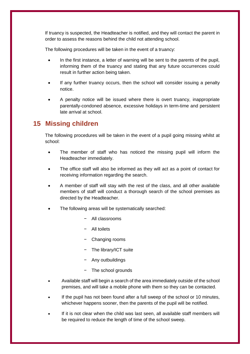If truancy is suspected, the Headteacher is notified, and they will contact the parent in order to assess the reasons behind the child not attending school.

The following procedures will be taken in the event of a truancy:

- In the first instance, a letter of warning will be sent to the parents of the pupil, informing them of the truancy and stating that any future occurrences could result in further action being taken.
- If any further truancy occurs, then the school will consider issuing a penalty notice.
- A penalty notice will be issued where there is overt truancy, inappropriate parentally-condoned absence, excessive holidays in term-time and persistent late arrival at school.

## **15 Missing children**

The following procedures will be taken in the event of a pupil going missing whilst at school:

- The member of staff who has noticed the missing pupil will inform the Headteacher immediately.
- The office staff will also be informed as they will act as a point of contact for receiving information regarding the search.
- A member of staff will stay with the rest of the class, and all other available members of staff will conduct a thorough search of the school premises as directed by the Headteacher.
- The following areas will be systematically searched:
	- − All classrooms
	- − All toilets
	- − Changing rooms
	- − The library/ICT suite
	- − Any outbuildings
	- − The school grounds
- Available staff will begin a search of the area immediately outside of the school premises, and will take a mobile phone with them so they can be contacted.
- If the pupil has not been found after a full sweep of the school or 10 minutes, whichever happens sooner, then the parents of the pupil will be notified.
- If it is not clear when the child was last seen, all available staff members will be required to reduce the length of time of the school sweep.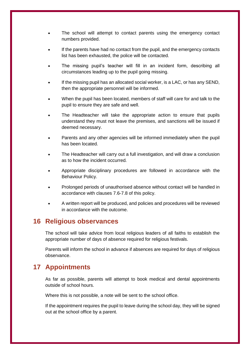- The school will attempt to contact parents using the emergency contact numbers provided.
- If the parents have had no contact from the pupil, and the emergency contacts list has been exhausted, the police will be contacted.
- The missing pupil's teacher will fill in an incident form, describing all circumstances leading up to the pupil going missing.
- If the missing pupil has an allocated social worker, is a LAC, or has any SEND, then the appropriate personnel will be informed.
- When the pupil has been located, members of staff will care for and talk to the pupil to ensure they are safe and well.
- The Headteacher will take the appropriate action to ensure that pupils understand they must not leave the premises, and sanctions will be issued if deemed necessary.
- Parents and any other agencies will be informed immediately when the pupil has been located.
- The Headteacher will carry out a full investigation, and will draw a conclusion as to how the incident occurred.
- Appropriate disciplinary procedures are followed in accordance with the Behaviour Policy.
- Prolonged periods of unauthorised absence without contact will be handled in accordance with clauses [7.6](file:///C:/Users/helen/Downloads/Primary_Attendance%20and%20Absence%20Policy_20200930.docx%23as)[-7.8](file:///C:/Users/helen/Downloads/Primary_Attendance%20and%20Absence%20Policy_20200930.docx%23asd) of this policy.
- A written report will be produced, and policies and procedures will be reviewed in accordance with the outcome.

## **16 Religious observances**

The school will take advice from local religious leaders of all faiths to establish the appropriate number of days of absence required for religious festivals.

Parents will inform the school in advance if absences are required for days of religious observance.

## **17 Appointments**

As far as possible, parents will attempt to book medical and dental appointments outside of school hours.

Where this is not possible, a note will be sent to the school office.

If the appointment requires the pupil to leave during the school day, they will be signed out at the school office by a parent.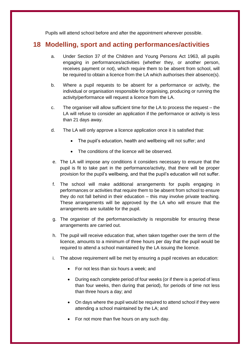Pupils will attend school before and after the appointment wherever possible.

## **18 Modelling, sport and acting performances/activities**

- a. Under Section 37 of the Children and Young Persons Act 1963, all pupils engaging in performances/activities (whether they, or another person, receives payment or not), which require them to be absent from school, will be required to obtain a licence from the LA which authorises their absence(s).
- b. Where a pupil requests to be absent for a performance or activity, the individual or organisation responsible for organising, producing or running the activity/performance will request a licence from the LA.
- c. The organiser will allow sufficient time for the LA to process the request the LA will refuse to consider an application if the performance or activity is less than 21 days away.
- d. The LA will only approve a licence application once it is satisfied that:
	- The pupil's education, health and wellbeing will not suffer; and
	- The conditions of the licence will be observed.
- e. The LA will impose any conditions it considers necessary to ensure that the pupil is fit to take part in the performance/activity, that there will be proper provision for the pupil's wellbeing, and that the pupil's education will not suffer.
- f. The school will make additional arrangements for pupils engaging in performances or activities that require them to be absent from school to ensure they do not fall behind in their education – this may involve private teaching. These arrangements will be approved by the LA who will ensure that the arrangements are suitable for the pupil.
- g. The organiser of the performance/activity is responsible for ensuring these arrangements are carried out.
- h. The pupil will receive education that, when taken together over the term of the licence, amounts to a minimum of three hours per day that the pupil would be required to attend a school maintained by the LA issuing the licence.
- i. The above requirement will be met by ensuring a pupil receives an education:
	- For not less than six hours a week; and
	- During each complete period of four weeks (or if there is a period of less than four weeks, then during that period), for periods of time not less than three hours a day; and
	- On days where the pupil would be required to attend school if they were attending a school maintained by the LA; and
	- For not more than five hours on any such day.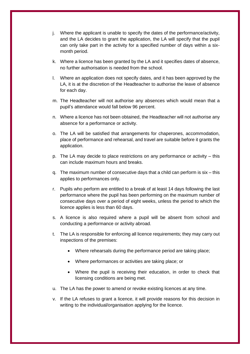- j. Where the applicant is unable to specify the dates of the performance/activity, and the LA decides to grant the application, the LA will specify that the pupil can only take part in the activity for a specified number of days within a sixmonth period.
- k. Where a licence has been granted by the LA and it specifies dates of absence, no further authorisation is needed from the school.
- l. Where an application does not specify dates, and it has been approved by the LA, it is at the discretion of the Headteacher to authorise the leave of absence for each day.
- m. The Headteacher will not authorise any absences which would mean that a pupil's attendance would fall below 96 percent.
- n. Where a licence has not been obtained, the Headteacher will not authorise any absence for a performance or activity.
- o. The LA will be satisfied that arrangements for chaperones, accommodation, place of performance and rehearsal, and travel are suitable before it grants the application.
- p. The LA may decide to place restrictions on any performance or activity this can include maximum hours and breaks.
- q. The maximum number of consecutive days that a child can perform is six this applies to performances only.
- r. Pupils who perform are entitled to a break of at least 14 days following the last performance where the pupil has been performing on the maximum number of consecutive days over a period of eight weeks, unless the period to which the licence applies is less than 60 days.
- s. A licence is also required where a pupil will be absent from school and conducting a performance or activity abroad.
- t. The LA is responsible for enforcing all licence requirements; they may carry out inspections of the premises:
	- Where rehearsals during the performance period are taking place;
	- Where performances or activities are taking place; or
	- Where the pupil is receiving their education, in order to check that licensing conditions are being met.
- u. The LA has the power to amend or revoke existing licences at any time.
- v. If the LA refuses to grant a licence, it will provide reasons for this decision in writing to the individual/organisation applying for the licence.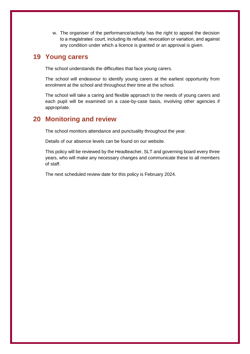w. The organiser of the performance/activity has the right to appeal the decision to a magistrates' court, including its refusal, revocation or variation, and against any condition under which a licence is granted or an approval is given.

## **19 Young carers**

The school understands the difficulties that face young carers.

The school will endeavour to identify young carers at the earliest opportunity from enrolment at the school and throughout their time at the school.

The school will take a caring and flexible approach to the needs of young carers and each pupil will be examined on a case-by-case basis, involving other agencies if appropriate.

## **20 Monitoring and review**

The school monitors attendance and punctuality throughout the year.

Details of our absence levels can be found on our website.

This policy will be reviewed by the Headteacher, SLT and governing board every three years, who will make any necessary changes and communicate these to all members of staff.

The next scheduled review date for this policy is February 2024.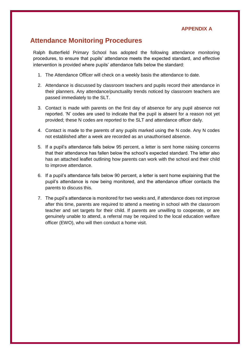#### **APPENDIX A**

## **Attendance Monitoring Procedures**

Ralph Butterfield Primary School has adopted the following attendance monitoring procedures, to ensure that pupils' attendance meets the expected standard, and effective intervention is provided where pupils' attendance falls below the standard:

- 1. The Attendance Officer will check on a weekly basis the attendance to date.
- 2. Attendance is discussed by classroom teachers and pupils record their attendance in their planners. Any attendance/punctuality trends noticed by classroom teachers are passed immediately to the SLT.
- 3. Contact is made with parents on the first day of absence for any pupil absence not reported. 'N' codes are used to indicate that the pupil is absent for a reason not yet provided; these N codes are reported to the SLT and attendance officer daily.
- 4. Contact is made to the parents of any pupils marked using the N code. Any N codes not established after a week are recorded as an unauthorised absence.
- 5. If a pupil's attendance falls below 95 percent, a letter is sent home raising concerns that their attendance has fallen below the school's expected standard. The letter also has an attached leaflet outlining how parents can work with the school and their child to improve attendance.
- 6. If a pupil's attendance falls below 90 percent, a letter is sent home explaining that the pupil's attendance is now being monitored, and the attendance officer contacts the parents to discuss this.
- 7. The pupil's attendance is monitored for two weeks and, if attendance does not improve after this time, parents are required to attend a meeting in school with the classroom teacher and set targets for their child. If parents are unwilling to cooperate, or are genuinely unable to attend, a referral may be required to the local education welfare officer (EWO), who will then conduct a home visit.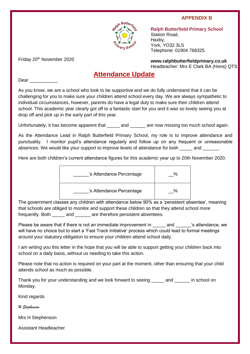#### **APPENDIX B**



**Ralph Butterfield Primary School** Station Road, Haxby, York, YO32 3LS Telephone: 01904 768325

Friday 20<sup>th</sup> November 2020

**www.ralphbutterfieldprimary.co.uk** Headteacher: Mrs E Clark BA (Hons) QTS

## **Attendance Update**

Dear **Dear** 

As you know, we are a school who look to be supportive and we do fully understand that it can be challenging for you to make sure your children attend school every day. We are always sympathetic to individual circumstances, however, parents do have a legal duty to make sure their children attend school. This academic year clearly got off to a fantastic start for you and it was so lovely seeing you at drop off and pick up in the early part of this year.

Unfortunately, it has become apparent that and are now missing too much school again.

As the Attendance Lead in Ralph Butterfield Primary School, my role is to improve attendance and punctuality. I monitor pupil's attendance regularly and follow up on any frequent or unreasonable absences. We would like your support to improve levels of attendance for both \_\_\_\_\_\_ and \_\_\_\_\_\_.

Here are both children's current attendance figures for this academic year up to 20th November 2020.



The government classes any children with attendance below 90% as a 'persistent absentee', meaning that schools are obliged to monitor and support these children so that they attend school more frequently. Both and are therefore persistent absentees.

Please be aware that if there is not an immediate improvement in early and and is attendance, we will have no choice but to start a 'Fast Track Initiative' process which could lead to formal meetings around your statutory obligation to ensure your children attend school daily.

I am writing you this letter in the hope that you will be able to support getting your children back into school on a daily basis, without us needing to take this action.

Please note that no action is required on your part at the moment, other than ensuring that your child attends school as much as possible.

Thank you for your understanding and we look forward to seeing \_\_\_\_\_ and \_\_\_\_\_\_ in school on Monday.

Kind regards

*H Stephenson*

Mrs H Stephenson

Assistant Headteacher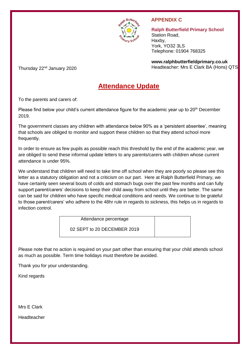

#### **APPENDIX C**

**Ralph Butterfield Primary School** Station Road, Haxby, York, YO32 3LS Telephone: 01904 768325

**www.ralphbutterfieldprimary.co.uk** Headteacher: Mrs E Clark BA (Hons) QTS

Thursday 22nd January 2020

## **Attendance Update**

To the parents and carers of:

Please find below your child's current attendance figure for the academic year up to 20<sup>th</sup> December 2019.

The government classes any children with attendance below 90% as a 'persistent absentee', meaning that schools are obliged to monitor and support these children so that they attend school more frequently.

In order to ensure as few pupils as possible reach this threshold by the end of the academic year, we are obliged to send these informal update letters to any parents/carers with children whose current attendance is under 95%.

We understand that children will need to take time off school when they are poorly so please see this letter as a statutory obligation and not a criticism on our part. Here at Ralph Butterfield Primary, we have certainly seen several bouts of colds and stomach bugs over the past few months and can fully support parent/carers' decisions to keep their child away from school until they are better. The same can be said for children who have specific medical conditions and needs. We continue to be grateful to those parent/carers' who adhere to the 48hr rule in regards to sickness, this helps us in regards to infection control.

> Attendance percentage 02 SEPT to 20 DECEMBER 2019

Please note that no action is required on your part other than ensuring that your child attends school as much as possible. Term time holidays must therefore be avoided.

Thank you for your understanding.

Kind regards

Mrs E Clark

Headteacher